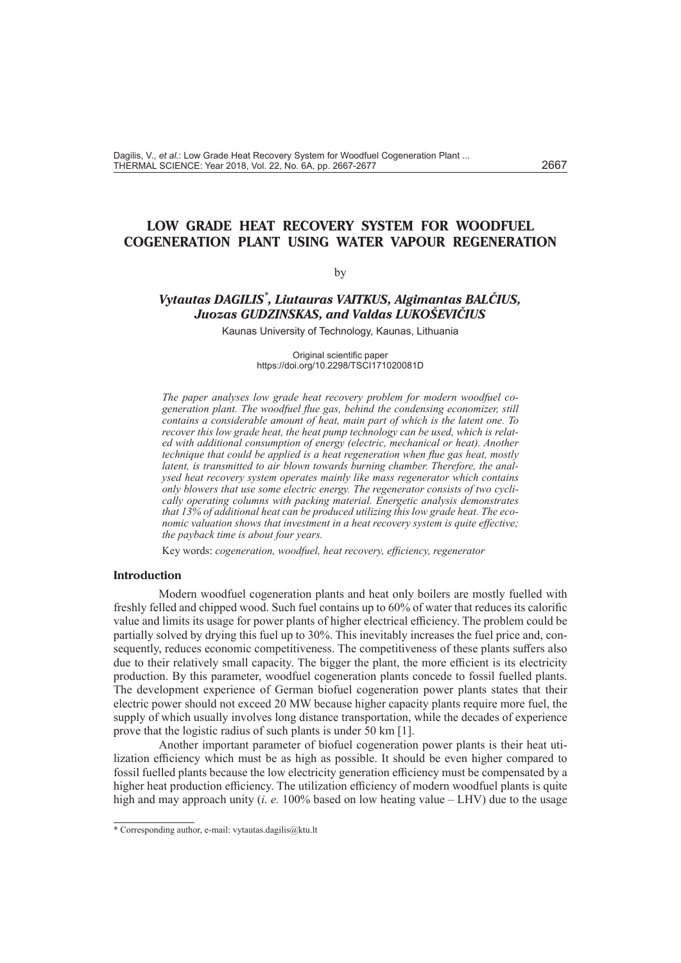# **LOW GRADE HEAT RECOVERY SYSTEM FOR WOODFUEL COGENERATION PLANT USING WATER VAPOUR REGENERATION**

### by

# *Vytautas DAGILIS\* , Liutauras VAITKUS, Algimantas BALČIUS, Juozas GUDZINSKAS, and Valdas LUKOŠEVIČIUS*

Kaunas University of Technology, Kaunas, Lithuania

Original scientific paper https://doi.org/10.2298/TSCI171020081D

*The paper analyses low grade heat recovery problem for modern woodfuel cogeneration plant. The woodfuel flue gas, behind the condensing economizer, still contains a considerable amount of heat, main part of which is the latent one. To recover this low grade heat, the heat pump technology can be used, which is related with additional consumption of energy (electric, mechanical or heat). Another technique that could be applied is a heat regeneration when flue gas heat, mostly latent, is transmitted to air blown towards burning chamber. Therefore, the analysed heat recovery system operates mainly like mass regenerator which contains only blowers that use some electric energy. The regenerator consists of two cyclically operating columns with packing material. Energetic analysis demonstrates that 13% of additional heat can be produced utilizing this low grade heat. The economic valuation shows that investment in a heat recovery system is quite effective; the payback time is about four years.*

Key words: *cogeneration, woodfuel, heat recovery, efficiency, regenerator*

## **Introduction**

Modern woodfuel cogeneration plants and heat only boilers are mostly fuelled with freshly felled and chipped wood. Such fuel contains up to 60% of water that reduces its calorific value and limits its usage for power plants of higher electrical efficiency. The problem could be partially solved by drying this fuel up to 30%. This inevitably increases the fuel price and, consequently, reduces economic competitiveness. The competitiveness of these plants suffers also due to their relatively small capacity. The bigger the plant, the more efficient is its electricity production. By this parameter, woodfuel cogeneration plants concede to fossil fuelled plants. The development experience of German biofuel cogeneration power plants states that their electric power should not exceed 20 MW because higher capacity plants require more fuel, the supply of which usually involves long distance transportation, while the decades of experience prove that the logistic radius of such plants is under 50 km [1].

Another important parameter of biofuel cogeneration power plants is their heat utilization efficiency which must be as high as possible. It should be even higher compared to fossil fuelled plants because the low electricity generation efficiency must be compensated by a higher heat production efficiency. The utilization efficiency of modern woodfuel plants is quite high and may approach unity (*i. e.* 100% based on low heating value – LHV) due to the usage

<sup>\*</sup> Corresponding author, e-mail: [vytautas.dagilis@ktu.lt](mailto:vytautas.dagilis@ktu.lt)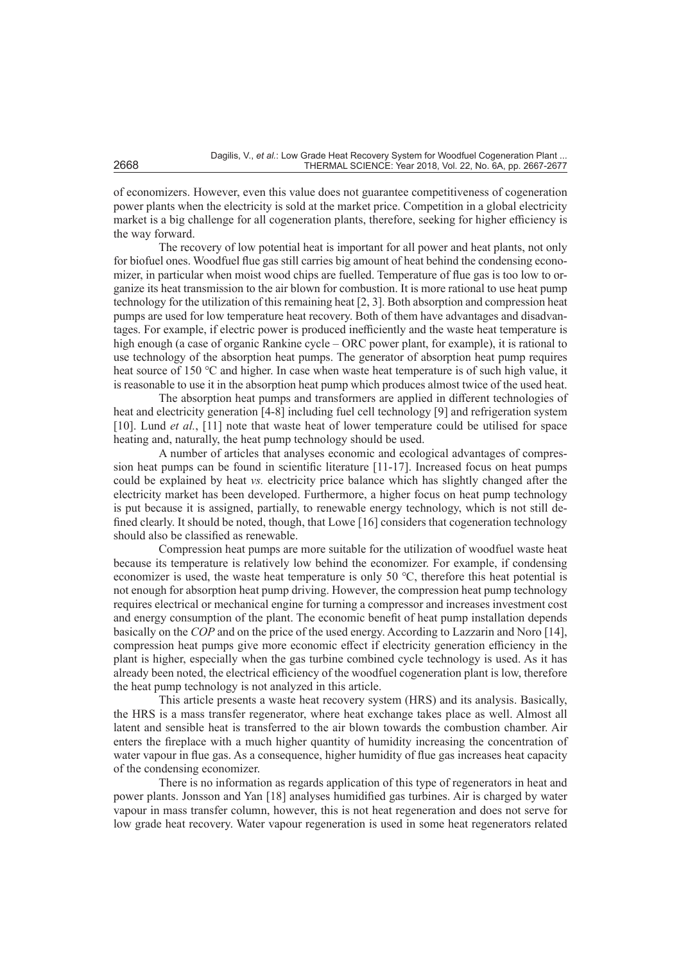of economizers. However, even this value does not guarantee competitiveness of cogeneration power plants when the electricity is sold at the market price. Competition in a global electricity market is a big challenge for all cogeneration plants, therefore, seeking for higher efficiency is the way forward.

The recovery of low potential heat is important for all power and heat plants, not only for biofuel ones. Woodfuel flue gas still carries big amount of heat behind the condensing economizer, in particular when moist wood chips are fuelled. Temperature of flue gas is too low to organize its heat transmission to the air blown for combustion. It is more rational to use heat pump technology for the utilization of this remaining heat [2, 3]. Both absorption and compression heat pumps are used for low temperature heat recovery. Both of them have advantages and disadvantages. For example, if electric power is produced inefficiently and the waste heat temperature is high enough (a case of organic Rankine cycle – ORC power plant, for example), it is rational to use technology of the absorption heat pumps. The generator of absorption heat pump requires heat source of 150 ℃ and higher. In case when waste heat temperature is of such high value, it is reasonable to use it in the absorption heat pump which produces almost twice of the used heat.

The absorption heat pumps and transformers are applied in different technologies of heat and electricity generation [4-8] including fuel cell technology [9] and refrigeration system [10]. Lund *et al.*, [11] note that waste heat of lower temperature could be utilised for space heating and, naturally, the heat pump technology should be used.

A number of articles that analyses economic and ecological advantages of compression heat pumps can be found in scientific literature [11-17]. Increased focus on heat pumps could be explained by heat *vs.* electricity price balance which has slightly changed after the electricity market has been developed. Furthermore, a higher focus on heat pump technology is put because it is assigned, partially, to renewable energy technology, which is not still defined clearly. It should be noted, though, that Lowe [16] considers that cogeneration technology should also be classified as renewable.

Compression heat pumps are more suitable for the utilization of woodfuel waste heat because its temperature is relatively low behind the economizer. For example, if condensing economizer is used, the waste heat temperature is only 50 ℃, therefore this heat potential is not enough for absorption heat pump driving. However, the compression heat pump technology requires electrical or mechanical engine for turning a compressor and increases investment cost and energy consumption of the plant. The economic benefit of heat pump installation depends basically on the *COP* and on the price of the used energy. According to Lazzarin and Noro [14], compression heat pumps give more economic effect if electricity generation efficiency in the plant is higher, especially when the gas turbine combined cycle technology is used. As it has already been noted, the electrical efficiency of the woodfuel cogeneration plant is low, therefore the heat pump technology is not analyzed in this article.

This article presents a waste heat recovery system (HRS) and its analysis. Basically, the HRS is a mass transfer regenerator, where heat exchange takes place as well. Almost all latent and sensible heat is transferred to the air blown towards the combustion chamber. Air enters the fireplace with a much higher quantity of humidity increasing the concentration of water vapour in flue gas. As a consequence, higher humidity of flue gas increases heat capacity of the condensing economizer.

There is no information as regards application of this type of regenerators in heat and power plants. Jonsson and Yan [18] analyses humidified gas turbines. Air is charged by water vapour in mass transfer column, however, this is not heat regeneration and does not serve for low grade heat recovery. Water vapour regeneration is used in some heat regenerators related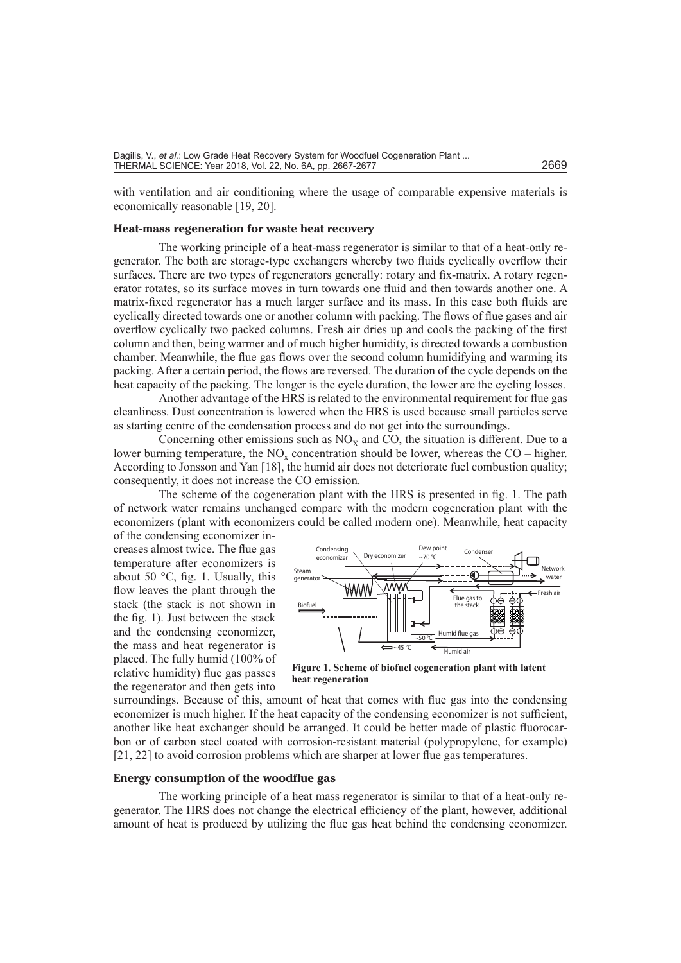with ventilation and air conditioning where the usage of comparable expensive materials is economically reasonable [19, 20].

## **Heat-mass regeneration for waste heat recovery**

The working principle of a heat-mass regenerator is similar to that of a heat-only regenerator. The both are storage-type exchangers whereby two fluids cyclically overflow their surfaces. There are two types of regenerators generally: rotary and fix-matrix. A rotary regenerator rotates, so its surface moves in turn towards one fluid and then towards another one. A matrix-fixed regenerator has a much larger surface and its mass. In this case both fluids are cyclically directed towards one or another column with packing. The flows of flue gases and air overflow cyclically two packed columns. Fresh air dries up and cools the packing of the first column and then, being warmer and of much higher humidity, is directed towards a combustion chamber. Meanwhile, the flue gas flows over the second column humidifying and warming its packing. After a certain period, the flows are reversed. The duration of the cycle depends on the heat capacity of the packing. The longer is the cycle duration, the lower are the cycling losses.

Another advantage of the HRS is related to the environmental requirement for flue gas cleanliness. Dust concentration is lowered when the HRS is used because small particles serve as starting centre of the condensation process and do not get into the surroundings.

Concerning other emissions such as  $NO<sub>X</sub>$  and CO, the situation is different. Due to a lower burning temperature, the  $NO_x$  concentration should be lower, whereas the  $CO - higher$ . According to Jonsson and Yan [18], the humid air does not deteriorate fuel combustion quality; consequently, it does not increase the CO emission.

The scheme of the cogeneration plant with the HRS is presented in fig. 1. The path of network water remains unchanged compare with the modern cogeneration plant with the economizers (plant with economizers could be called modern one). Meanwhile, heat capacity

of the condensing economizer increases almost twice. The flue gas temperature after economizers is about 50 °C, fig. 1. Usually, this flow leaves the plant through the stack (the stack is not shown in the fig. 1). Just between the stack and the condensing economizer, the mass and heat regenerator is placed. The fully humid (100% of relative humidity) flue gas passes the regenerator and then gets into



**Figure 1. Scheme of biofuel cogeneration plant with latent heat regeneration**

surroundings. Because of this, amount of heat that comes with flue gas into the condensing economizer is much higher. If the heat capacity of the condensing economizer is not sufficient, another like heat exchanger should be arranged. It could be better made of plastic fluorocarbon or of carbon steel coated with corrosion-resistant material (polypropylene, for example) [21, 22] to avoid corrosion problems which are sharper at lower flue gas temperatures.

### **Energy consumption of the woodflue gas**

The working principle of a heat mass regenerator is similar to that of a heat-only regenerator. The HRS does not change the electrical efficiency of the plant, however, additional amount of heat is produced by utilizing the flue gas heat behind the condensing economizer.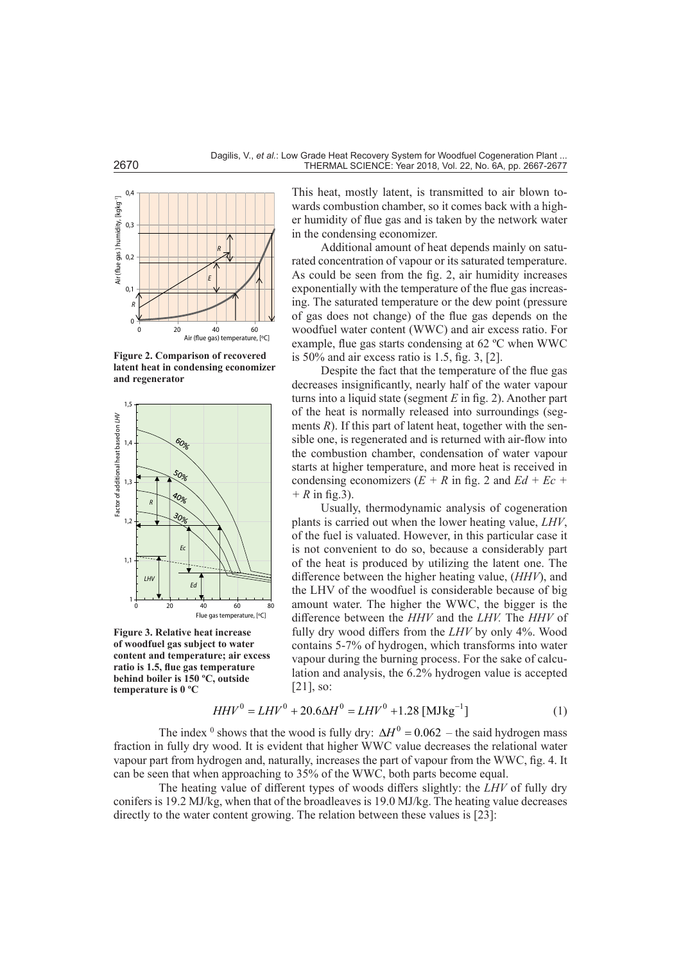

**Figure 2. Comparison of recovered latent heat in condensing economizer and regenerator**



**Figure 3. Relative heat increase of woodfuel gas subject to water content and temperature; air excess ratio is 1.5, flue gas temperature behind boiler is 150 ºC, outside temperature is 0 ºC**

This heat, mostly latent, is transmitted to air blown towards combustion chamber, so it comes back with a higher humidity of flue gas and is taken by the network water in the condensing economizer.

Additional amount of heat depends mainly on saturated concentration of vapour or its saturated temperature. As could be seen from the fig. 2, air humidity increases exponentially with the temperature of the flue gas increasing. The saturated temperature or the dew point (pressure of gas does not change) of the flue gas depends on the woodfuel water content (WWC) and air excess ratio. For example, flue gas starts condensing at 62 ºC when WWC is 50% and air excess ratio is 1.5, fig. 3, [2].

Despite the fact that the temperature of the flue gas decreases insignificantly, nearly half of the water vapour turns into a liquid state (segment *E* in fig. 2). Another part of the heat is normally released into surroundings (segments  $R$ ). If this part of latent heat, together with the sensible one, is regenerated and is returned with air-flow into the combustion chamber, condensation of water vapour starts at higher temperature, and more heat is received in condensing economizers  $(E + R \text{ in fig. 2 and } Ed + Ec +$ *+ R* in fig.3).

Usually, thermodynamic analysis of cogeneration plants is carried out when the lower heating value, *LHV*, of the fuel is valuated. However, in this particular case it is not convenient to do so, because a considerably part of the heat is produced by utilizing the latent one. The difference between the higher heating value, (*HHV*), and the LHV of the woodfuel is considerable because of big amount water. The higher the WWC, the bigger is the difference between the *HHV* and the *LHV.* The *HHV* of fully dry wood differs from the *LHV* by only 4%. Wood contains 5-7% of hydrogen, which transforms into water vapour during the burning process. For the sake of calculation and analysis, the 6.2% hydrogen value is accepted [21], so:

$$
HHV^{0} = LHV^{0} + 20.6\Delta H^{0} = LHV^{0} + 1.28 \text{ [MJkg}^{-1}\text{]}
$$
 (1)

The index <sup>0</sup> shows that the wood is fully dry:  $\Delta H^0 = 0.062$  – the said hydrogen mass fraction in fully dry wood. It is evident that higher WWC value decreases the relational water vapour part from hydrogen and, naturally, increases the part of vapour from the WWC, fig. 4. It can be seen that when approaching to 35% of the WWC, both parts become equal.

The heating value of different types of woods differs slightly: the *LHV* of fully dry conifers is 19.2 MJ/kg, when that of the broadleaves is 19.0 MJ/kg. The heating value decreases directly to the water content growing. The relation between these values is [23]: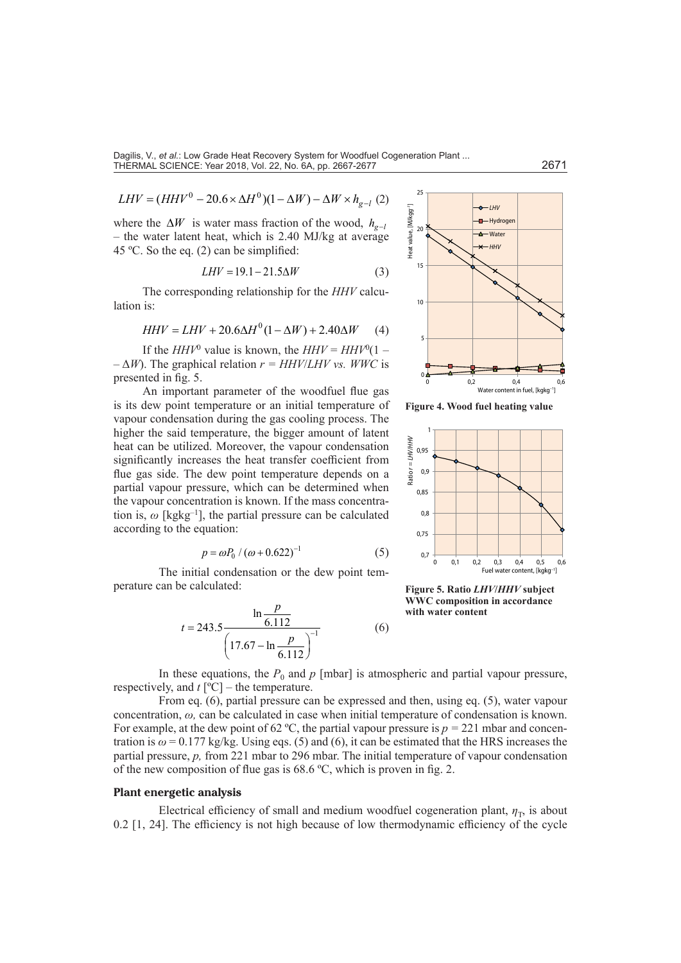$$
LHV = (HHV^{0} - 20.6 \times \Delta H^{0})(1 - \Delta W) - \Delta W \times h_{g-l} (2)
$$

where the  $\Delta W$  is water mass fraction of the wood,  $h_{\sigma-1}$ – the water latent heat, which is 2.40 MJ/kg at average 45 ºC. So the eq. (2) can be simplified:

$$
LHV = 19.1 - 21.5\Delta W\tag{3}
$$

The corresponding relationship for the *HHV* calculation is:

$$
HHV = LHV + 20.6\Delta H^{0}(1 - \Delta W) + 2.40\Delta W \tag{4}
$$

If the  $HHV^0$  value is known, the  $HHV = HHV^0(1 -\Delta W$ ). The graphical relation  $r = HHV/LHV$  *vs. WWC* is presented in fig. 5.

An important parameter of the woodfuel flue gas is its dew point temperature or an initial temperature of vapour condensation during the gas cooling process. The higher the said temperature, the bigger amount of latent heat can be utilized. Moreover, the vapour condensation significantly increases the heat transfer coefficient from flue gas side. The dew point temperature depends on a partial vapour pressure, which can be determined when the vapour concentration is known. If the mass concentration is,  $\omega$  [kgkg<sup>-1</sup>], the partial pressure can be calculated according to the equation:

$$
p = \omega P_0 / (\omega + 0.622)^{-1}
$$
 (5)

The initial condensation or the dew point temperature can be calculated:

$$
t = 243.5 \frac{\ln \frac{p}{6.112}}{\left(17.67 - \ln \frac{p}{6.112}\right)^{-1}}
$$
 (6)



**Figure 4. Wood fuel heating value**



**Figure 5. Ratio** *LHV***/***HHV* **subject WWC composition in accordance with water content**

In these equations, the  $P_0$  and  $p$  [mbar] is atmospheric and partial vapour pressure, respectively, and  $t$  [ $^{\circ}$ C] – the temperature.

From eq. (6), partial pressure can be expressed and then, using eq. (5), water vapour concentration, *ω,* can be calculated in case when initial temperature of condensation is known. For example, at the dew point of 62 °C, the partial vapour pressure is  $p = 221$  mbar and concentration is  $\omega$  = 0.177 kg/kg. Using eqs. (5) and (6), it can be estimated that the HRS increases the partial pressure, *p,* from 221 mbar to 296 mbar. The initial temperature of vapour condensation of the new composition of flue gas is 68.6 ºC, which is proven in fig. 2.

#### **Plant energetic analysis**

Electrical efficiency of small and medium woodfuel cogeneration plant,  $\eta_{\rm T}$ , is about 0.2 [1, 24]. The efficiency is not high because of low thermodynamic efficiency of the cycle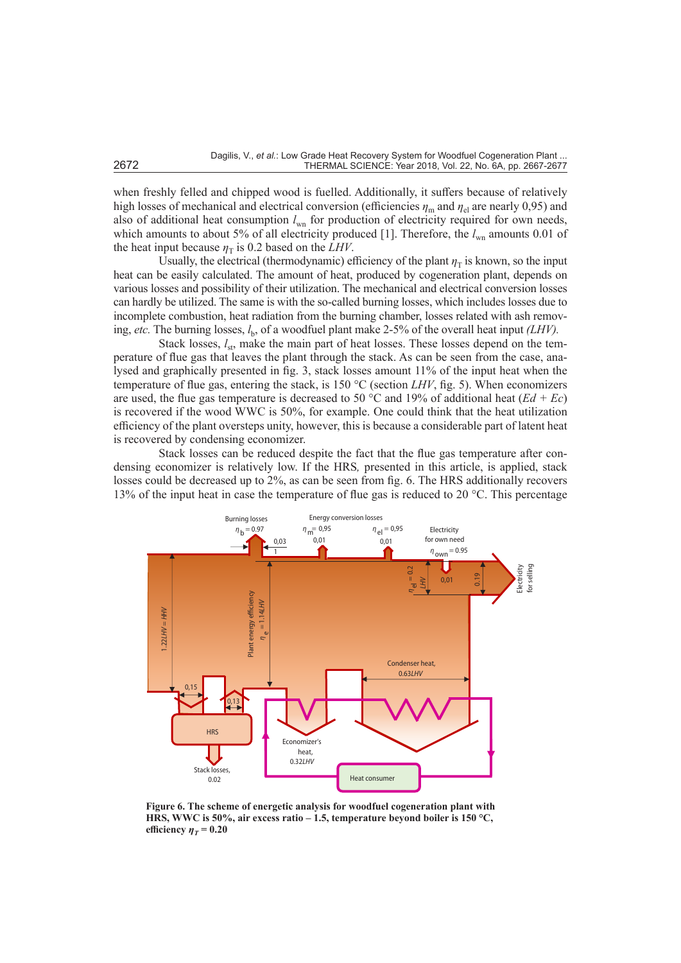when freshly felled and chipped wood is fuelled. Additionally, it suffers because of relatively high losses of mechanical and electrical conversion (efficiencies  $\eta_m$  and  $\eta_{el}$  are nearly 0,95) and also of additional heat consumption  $l_{wn}$  for production of electricity required for own needs, which amounts to about 5% of all electricity produced [1]. Therefore, the  $l_{\text{wn}}$  amounts 0.01 of the heat input because  $\eta_T$  is 0.2 based on the *LHV*.

Usually, the electrical (thermodynamic) efficiency of the plant  $\eta_T$  is known, so the input heat can be easily calculated. The amount of heat, produced by cogeneration plant, depends on various losses and possibility of their utilization. The mechanical and electrical conversion losses can hardly be utilized. The same is with the so-called burning losses, which includes losses due to incomplete combustion, heat radiation from the burning chamber, losses related with ash removing, *etc*. The burning losses,  $l_b$ , of a woodfuel plant make 2-5% of the overall heat input *(LHV)*.

Stack losses,  $l_{st}$ , make the main part of heat losses. These losses depend on the temperature of flue gas that leaves the plant through the stack. As can be seen from the case, analysed and graphically presented in fig. 3, stack losses amount 11% of the input heat when the temperature of flue gas, entering the stack, is 150 °C (section *LHV*, fig. 5). When economizers are used, the flue gas temperature is decreased to 50 °C and 19% of additional heat ( $Ed + Ec$ ) is recovered if the wood WWC is 50%, for example. One could think that the heat utilization efficiency of the plant oversteps unity, however, this is because a considerable part of latent heat is recovered by condensing economizer.

Stack losses can be reduced despite the fact that the flue gas temperature after condensing economizer is relatively low. If the HRS*,* presented in this article, is applied, stack losses could be decreased up to 2%, as can be seen from fig. 6. The HRS additionally recovers 13% of the input heat in case the temperature of flue gas is reduced to 20 °C. This percentage



**Figure 6. The scheme of energetic analysis for woodfuel cogeneration plant with HRS, WWC is 50%, air excess ratio – 1.5, temperature beyond boiler is 150 °C, efficiency**  $\eta_T = 0.20$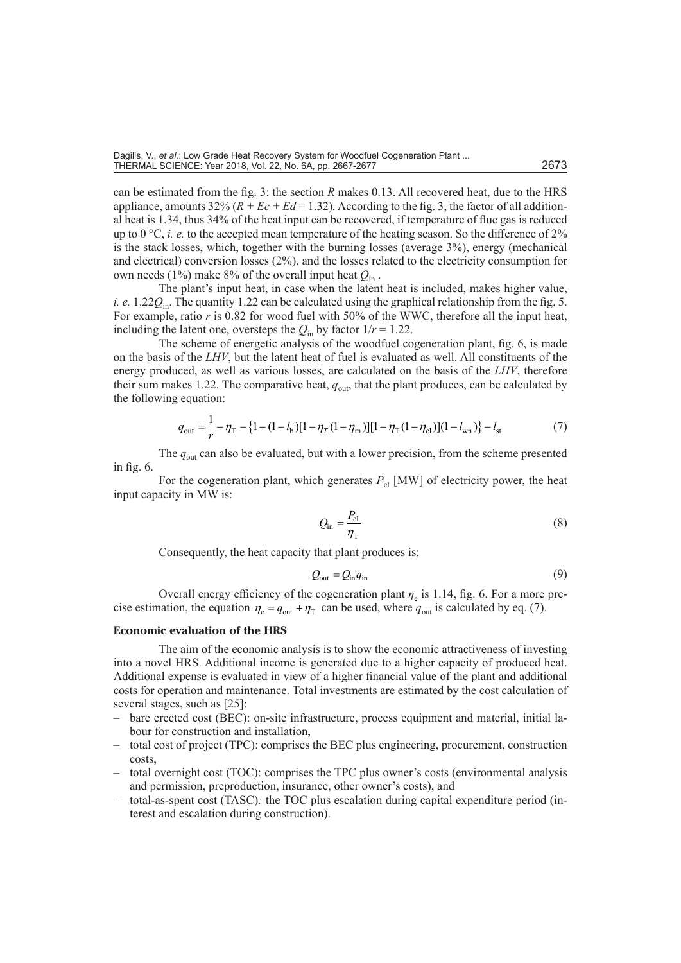can be estimated from the fig. 3: the section *R* makes 0.13. All recovered heat, due to the HRS appliance, amounts  $32\% (R + Ec + Ed = 1.32)$ . According to the fig. 3, the factor of all additional heat is 1.34, thus 34% of the heat input can be recovered, if temperature of flue gas is reduced up to  $0^{\circ}C$ , *i. e.* to the accepted mean temperature of the heating season. So the difference of 2% is the stack losses, which, together with the burning losses (average 3%), energy (mechanical and electrical) conversion losses (2%), and the losses related to the electricity consumption for own needs (1%) make 8% of the overall input heat  $Q_{\text{in}}$ .

The plant's input heat, in case when the latent heat is included, makes higher value, *i. e.* 1.22*Q*in. The quantity 1.22 can be calculated using the graphical relationship from the fig. 5. For example, ratio *r* is 0.82 for wood fuel with 50% of the WWC, therefore all the input heat, including the latent one, oversteps the  $Q_{\text{in}}$  by factor  $1/r = 1.22$ .

The scheme of energetic analysis of the woodfuel cogeneration plant, fig. 6, is made on the basis of the *LHV*, but the latent heat of fuel is evaluated as well. All constituents of the energy produced, as well as various losses, are calculated on the basis of the *LHV*, therefore their sum makes 1.22. The comparative heat,  $q_{\text{out}}$ , that the plant produces, can be calculated by the following equation:

$$
q_{\text{out}} = \frac{1}{r} - \eta_{\text{T}} - \left\{1 - (1 - l_{\text{b}})[1 - \eta_{\text{T}}(1 - \eta_{\text{m}})][1 - \eta_{\text{T}}(1 - \eta_{\text{el}})](1 - l_{\text{wn}})\right\} - l_{\text{st}}
$$
(7)

The  $q_{\text{out}}$  can also be evaluated, but with a lower precision, from the scheme presented in fig. 6.

For the cogeneration plant, which generates  $P_{el}$  [MW] of electricity power, the heat input capacity in MW is:

$$
Q_{\rm in} = \frac{P_{\rm el}}{\eta_{\rm T}}\tag{8}
$$

Consequently, the heat capacity that plant produces is:

$$
Q_{\text{out}} = Q_{\text{in}} q_{\text{in}} \tag{9}
$$

Overall energy efficiency of the cogeneration plant  $\eta_e$  is 1.14, fig. 6. For a more precise estimation, the equation  $\eta_e = q_{out} + \eta_T$  can be used, where  $q_{out}$  is calculated by eq. (7).

## **Economic evaluation of the HRS**

The aim of the economic analysis is to show the economic attractiveness of investing into a novel HRS. Additional income is generated due to a higher capacity of produced heat. Additional expense is evaluated in view of a higher financial value of the plant and additional costs for operation and maintenance. Total investments are estimated by the cost calculation of several stages, such as [25]:

- bare erected cost (BEC): on-site infrastructure, process equipment and material, initial labour for construction and installation,
- total cost of project (TPC): comprises the BEC plus engineering, procurement, construction costs,
- total overnight cost (TOC): comprises the TPC plus owner's costs (environmental analysis and permission, preproduction, insurance, other owner's costs), and
- total-as-spent cost (TASC)*:* the TOC plus escalation during capital expenditure period (interest and escalation during construction).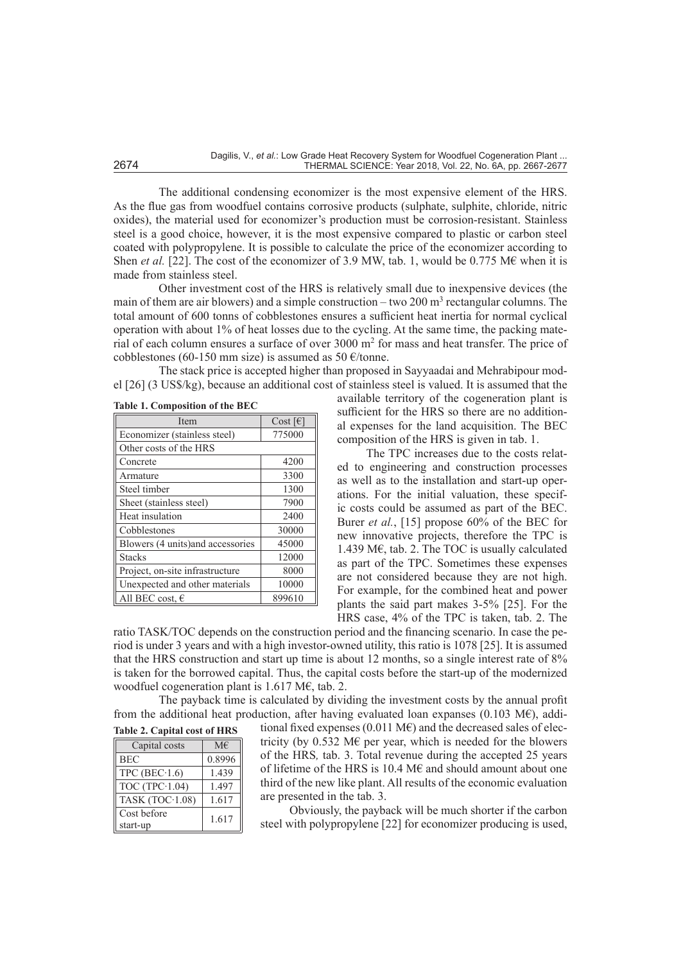The additional condensing economizer is the most expensive element of the HRS. As the flue gas from woodfuel contains corrosive products (sulphate, sulphite, chloride, nitric oxides), the material used for economizer's production must be corrosion-resistant. Stainless steel is a good choice, however, it is the most expensive compared to plastic or carbon steel coated with polypropylene. It is possible to calculate the price of the economizer according to Shen *et al.* [22]. The cost of the economizer of 3.9 MW, tab. 1, would be 0.775 M€ when it is made from stainless steel.

Other investment cost of the HRS is relatively small due to inexpensive devices (the main of them are air blowers) and a simple construction – two 200 m<sup>3</sup> rectangular columns. The total amount of 600 tonns of cobblestones ensures a sufficient heat inertia for normal cyclical operation with about 1% of heat losses due to the cycling. At the same time, the packing material of each column ensures a surface of over  $3000 \text{ m}^2$  for mass and heat transfer. The price of cobblestones (60-150 mm size) is assumed as 50  $\epsilon$ /tonne.

The stack price is accepted higher than proposed in Sayyaadai and Mehrabipour model [26] (3 US\$/kg), because an additional cost of stainless steel is valued. It is assumed that the

| Item                              | $Cost$ [ $\epsilon$ ] |
|-----------------------------------|-----------------------|
| Economizer (stainless steel)      | 775000                |
| Other costs of the HRS            |                       |
| Concrete                          | 4200                  |
| Armature                          | 3300                  |
| Steel timber                      | 1300                  |
| Sheet (stainless steel)           | 7900                  |
| Heat insulation                   | 2400                  |
| Cobblestones                      | 30000                 |
| Blowers (4 units) and accessories | 45000                 |
| <b>Stacks</b>                     | 12000                 |
| Project, on-site infrastructure   | 8000                  |
| Unexpected and other materials    | 10000                 |
| All BEC cost, $\epsilon$          | 899610                |

available territory of the cogeneration plant is sufficient for the HRS so there are no additional expenses for the land acquisition. The BEC composition of the HRS is given in tab. 1.

The TPC increases due to the costs related to engineering and construction processes as well as to the installation and start-up operations. For the initial valuation, these specific costs could be assumed as part of the BEC. Burer *et al.*, [15] propose 60% of the BEC for new innovative projects, therefore the TPC is 1.439 M€, tab. 2. The TOC is usually calculated as part of the TPC. Sometimes these expenses are not considered because they are not high. For example, for the combined heat and power plants the said part makes 3-5% [25]. For the HRS case, 4% of the TPC is taken, tab. 2. The

ratio TASK/TOC depends on the construction period and the financing scenario. In case the period is under 3 years and with a high investor-owned utility, this ratio is 1078 [25]. It is assumed that the HRS construction and start up time is about 12 months, so a single interest rate of 8% is taken for the borrowed capital. Thus, the capital costs before the start-up of the modernized woodfuel cogeneration plant is 1.617 M€, tab. 2.

The payback time is calculated by dividing the investment costs by the annual profit from the additional heat production, after having evaluated loan expanses (0.103 M€), addi-

|  |  | <b>Table 2. Capital cost of HRS</b> |  |  |  |
|--|--|-------------------------------------|--|--|--|
|--|--|-------------------------------------|--|--|--|

| Capital costs          | $M \in$ |  |  |  |
|------------------------|---------|--|--|--|
| <b>BEC</b>             | 0.8996  |  |  |  |
| TPC (BEC $\cdot$ 1.6)  | 1.439   |  |  |  |
| TOC (TPC $\cdot$ 1.04) | 1.497   |  |  |  |
| TASK $(TOC-1.08)$      | 1.617   |  |  |  |
| Cost before            | 1.617   |  |  |  |
| start-up               |         |  |  |  |

tional fixed expenses (0.011 M $\epsilon$ ) and the decreased sales of electricity (by  $0.532$  M $\epsilon$  per year, which is needed for the blowers of the HRS*,* tab. 3. Total revenue during the accepted 25 years of lifetime of the HRS is 10.4 M€ and should amount about one third of the new like plant. All results of the economic evaluation are presented in the tab. 3.

Obviously, the payback will be much shorter if the carbon steel with polypropylene [22] for economizer producing is used,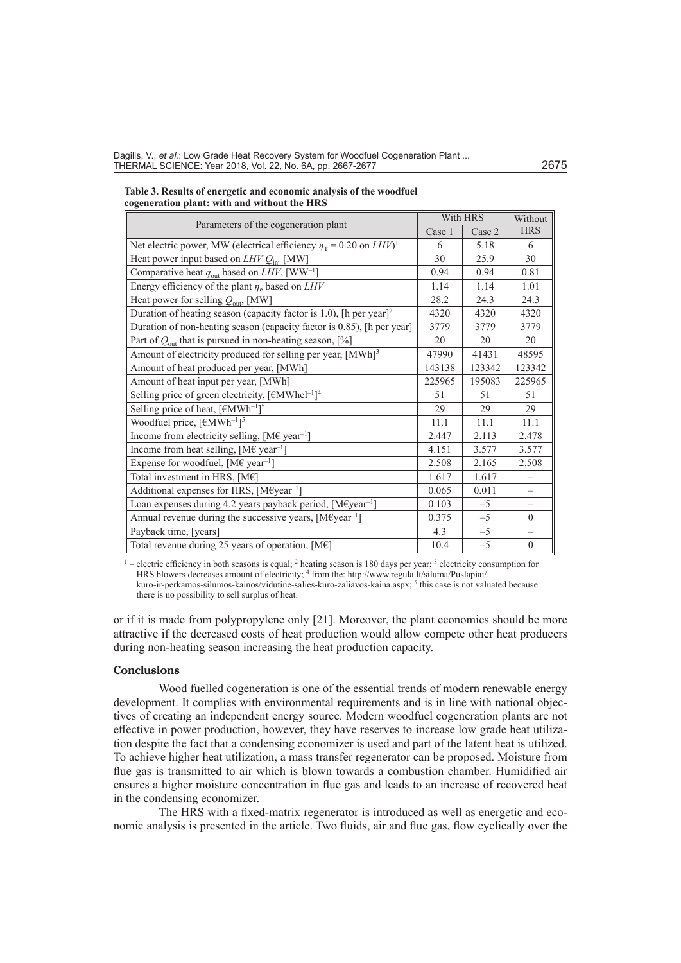Dagilis, V., et al.: Low Grade Heat Recovery System for Woodfuel Cogeneration Plant ... THERMAL SCIENCE: Year 2018, Vol. 22, No. 6A, pp. 2667-2677 2675

| Table 3. Results of energetic and economic analysis of the woodfuel |
|---------------------------------------------------------------------|
| cogeneration plant: with and without the HRS                        |

|                                                                                       | With HRS |        | Without                  |
|---------------------------------------------------------------------------------------|----------|--------|--------------------------|
| Parameters of the cogeneration plant                                                  |          | Case 2 | <b>HRS</b>               |
| Net electric power, MW (electrical efficiency $\eta_T = 0.20$ on $LHV$ ) <sup>1</sup> | 6        | 5.18   | 6                        |
| Heat power input based on $LHVQ_{\text{in}}$ , [MW]                                   | 30       | 25.9   | 30                       |
| Comparative heat $q_{\text{out}}$ based on <i>LHV</i> , [WW <sup>-1</sup> ]           | 0.94     | 0.94   | 0.81                     |
| Energy efficiency of the plant $\eta_e$ based on LHV                                  | 1.14     | 1.14   | 1.01                     |
| Heat power for selling $Q_{\text{out}}$ , [MW]                                        | 28.2     | 24.3   | 24.3                     |
| Duration of heating season (capacity factor is 1.0), [h per year] <sup>2</sup>        | 4320     | 4320   | 4320                     |
| Duration of non-heating season (capacity factor is 0.85), [h per year]                | 3779     | 3779   | 3779                     |
| Part of $Q_{\text{out}}$ that is pursued in non-heating season, [%]                   | 20       | 20     | 20                       |
| Amount of electricity produced for selling per year, [MWh] <sup>3</sup>               | 47990    | 41431  | 48595                    |
| Amount of heat produced per year, [MWh]                                               | 143138   | 123342 | 123342                   |
| Amount of heat input per year, [MWh]                                                  | 225965   | 195083 | 225965                   |
| Selling price of green electricity, [€MWhel <sup>-1</sup> ] <sup>4</sup>              | 51       | 51     | 51                       |
| Selling price of heat, $[EMWh^{-1}]^5$                                                | 29       | 29     | 29                       |
| Woodfuel price, $[EMWh^{-1}]^5$                                                       | 11.1     | 11.1   | 11.1                     |
| Income from electricity selling, $[M \in \text{year}^{-1}]$                           | 2.447    | 2.113  | 2.478                    |
| Income from heat selling, $[M \in \text{year}^{-1}]$                                  | 4.151    | 3.577  | 3.577                    |
| Expense for woodfuel, [M $\epsilon$ year <sup>-1</sup> ]                              | 2.508    | 2.165  | 2.508                    |
| Total investment in HRS, [M€]                                                         | 1.617    | 1.617  |                          |
| Additional expenses for HRS, [M€year <sup>-1</sup> ]                                  | 0.065    | 0.011  | $\overline{\phantom{0}}$ |
| Loan expenses during 4.2 years payback period, [M€year <sup>-1</sup> ]                | 0.103    | $-5$   | $\overline{\phantom{0}}$ |
| Annual revenue during the successive years, $[M \epsilon year^{-1}]$                  | 0.375    | $-5$   | $\mathbf{0}$             |
| Payback time, [years]                                                                 | 4.3      | $-5$   | $\qquad \qquad -$        |
| Total revenue during 25 years of operation, $[ME]$                                    | 10.4     | $-5$   | $\theta$                 |

 $1$  – electric efficiency in both seasons is equal;  $2$  heating season is 180 days per year;  $3$  electricity consumption for HRS blowers decreases amount of electricity; 4 from the: [http://www.regula.lt/siluma/Puslapiai/](http://www.regula.lt/siluma/Puslapiai/kuro-ir-perkamos-silumos-kainos/vidutine-salies-kuro-zaliavos-kaina.aspx) [kuro-ir-perkamos-silumos-kainos/vidutine-salies-kuro-zaliavos-kaina.aspx](http://www.regula.lt/siluma/Puslapiai/kuro-ir-perkamos-silumos-kainos/vidutine-salies-kuro-zaliavos-kaina.aspx); <sup>5</sup> this case is not valuated because there is no possibility to sell surplus of heat.

or if it is made from polypropylene only [21]. Moreover, the plant economics should be more attractive if the decreased costs of heat production would allow compete other heat producers during non-heating season increasing the heat production capacity.

## **Conclusions**

Wood fuelled cogeneration is one of the essential trends of modern renewable energy development. It complies with environmental requirements and is in line with national objectives of creating an independent energy source. Modern woodfuel cogeneration plants are not effective in power production, however, they have reserves to increase low grade heat utilization despite the fact that a condensing economizer is used and part of the latent heat is utilized. To achieve higher heat utilization, a mass transfer regenerator can be proposed. Moisture from flue gas is transmitted to air which is blown towards a combustion chamber. Humidified air ensures a higher moisture concentration in flue gas and leads to an increase of recovered heat in the condensing economizer.

The HRS with a fixed-matrix regenerator is introduced as well as energetic and economic analysis is presented in the article. Two fluids, air and flue gas, flow cyclically over the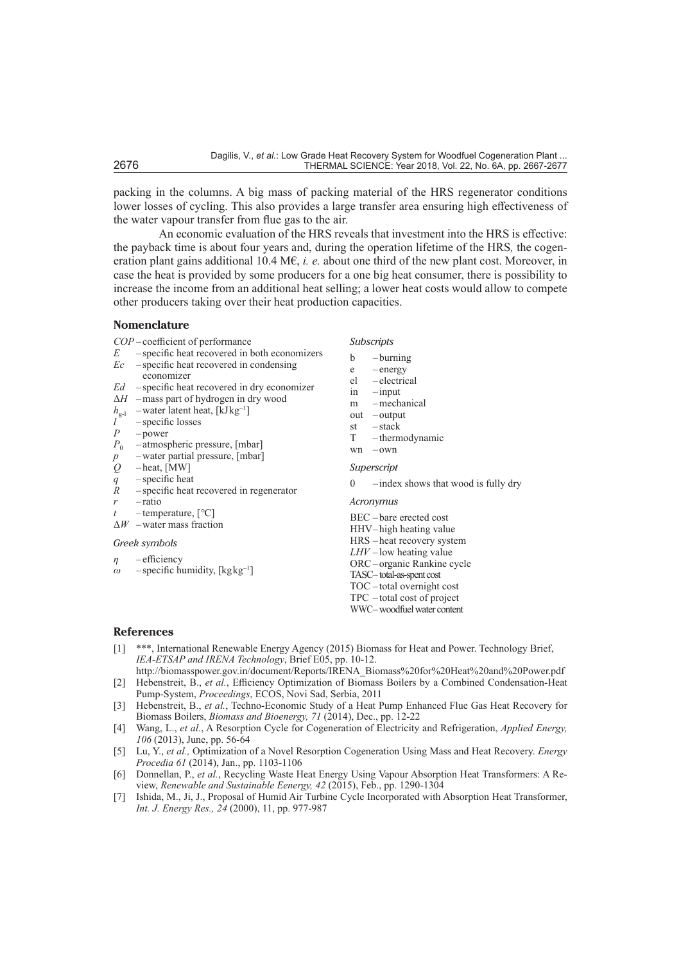packing in the columns. A big mass of packing material of the HRS regenerator conditions lower losses of cycling. This also provides a large transfer area ensuring high effectiveness of the water vapour transfer from flue gas to the air.

An economic evaluation of the HRS reveals that investment into the HRS is effective: the payback time is about four years and, during the operation lifetime of the HRS*,* the cogeneration plant gains additional 10.4 M€, *i. e.* about one third of the new plant cost. Moreover, in case the heat is provided by some producers for a one big heat consumer, there is possibility to increase the income from an additional heat selling; a lower heat costs would allow to compete other producers taking over their heat production capacities.

### **Nomenclature**

- *COP* coefficient of performance
- *E* specific heat recovered in both economizers *Ec* – specific heat recovered in condensing
- economizer
- *Ed* specific heat recovered in dry economizer
- Δ*H* –mass part of hydrogen in dry wood
- $h_{g-1}$  –water latent heat, [kJ $kg^{-1}$ ]
- $l^{\circ}$  specific losses<br>  $P$  power
- $\begin{array}{cc} P & -\text{power} \\ P_0 & -\text{atmosp} \end{array}$
- -atmospheric pressure, [mbar]
- *p –*water partial pressure, [mbar]
- *Q* heat, [MW]
- *q* specific heat
- *R* specific heat recovered in regenerator
- *r* ratio
- *t* temperature, [*°*C]
- Δ*W* –water mass fraction

## *Greek symbols*

- *η* efficiency
- $\omega$  specific humidity, [kg<sub>kg<sup>-1</sup>]</sub>

*Subscripts*

- b burning
- e energy
- el electrical
- in input
- m –mechanical
- out output
- st stack<br>T therm
- $-$ thermodynamic
- wn own

#### *Superscript*

 $0$  – index shows that wood is fully dry

#### *Acronymus*

BEC *–* bare erected cost HHV– high heating value HRS – heat recovery system *LHV* – low heating value ORC*–* organic Rankine cycle TASC– total-as-spent cost TOC – total overnight cost TPC *–* total cost of project WWC–woodfuel water content

## **References**

- [1] \*\*\*, International Renewable Energy Agency (2015) Biomass for Heat and Power. Technology Brief, *IEA-ETSAP and IRENA Technology*, Brief E05, pp. 10-12.
- [http://biomasspower.gov.in/document/Reports/IRENA\\_Biomass%20for%20Heat%20and%20Power.pdf](http://biomasspower.gov.in/document/Reports/IRENA_Biomass%20for%20Heat%20and%20Power.pdf) [2] Hebenstreit, B., *et al.*, Efficiency Optimization of Biomass Boilers by a Combined Condensation-Heat Pump-System, *Proceedings*, ECOS, Novi Sad, Serbia, 2011
- [3] Hebenstreit, B., *et al.*, Techno-Economic Study of a Heat Pump Enhanced Flue Gas Heat Recovery for Biomass Boilers, *Biomass and Bioenergy, 71* (2014), Dec., pp. 12-22
- [4] Wang, L., *et al.*, A Resorption Cycle for Cogeneration of Electricity and Refrigeration, *Applied Energy, 106* (2013), June, pp. 56-64
- [5] Lu, Y., *et al.,* Optimization of a Novel Resorption Cogeneration Using Mass and Heat Recovery. *Energy Procedia 61* (2014), Jan., pp. 1103-1106
- [6] Donnellan, P., *et al.*, Recycling Waste Heat Energy Using Vapour Absorption Heat Transformers: A Review, *Renewable and Sustainable Eenergy, 42* (2015), Feb., pp. 1290-1304
- [7] Ishida, M., Ji, J., Proposal of Humid Air Turbine Cycle Incorporated with Absorption Heat Transformer, *Int. J. Energy Res., 24* (2000), 11, pp. 977-987